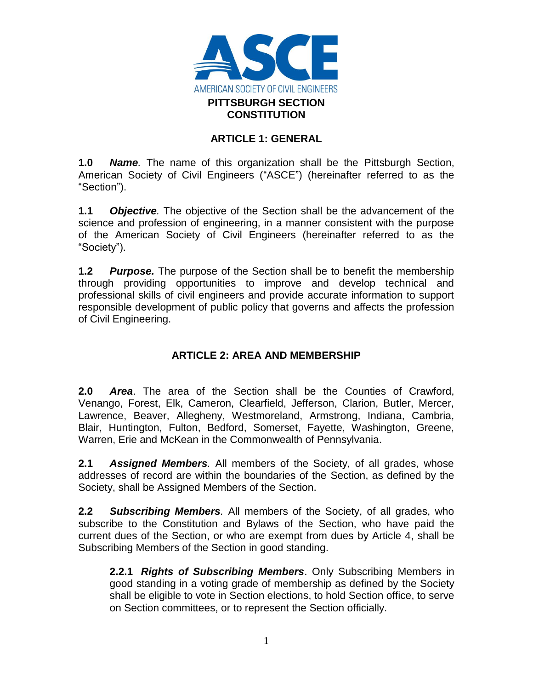

### **ARTICLE 1: GENERAL**

**1.0** *Name.* The name of this organization shall be the Pittsburgh Section, American Society of Civil Engineers ("ASCE") (hereinafter referred to as the "Section").

**1.1** *Objective.* The objective of the Section shall be the advancement of the science and profession of engineering, in a manner consistent with the purpose of the American Society of Civil Engineers (hereinafter referred to as the "Society").

**1.2** *Purpose.* The purpose of the Section shall be to benefit the membership through providing opportunities to improve and develop technical and professional skills of civil engineers and provide accurate information to support responsible development of public policy that governs and affects the profession of Civil Engineering.

# **ARTICLE 2: AREA AND MEMBERSHIP**

**2.0** *Area*. The area of the Section shall be the Counties of Crawford, Venango, Forest, Elk, Cameron, Clearfield, Jefferson, Clarion, Butler, Mercer, Lawrence, Beaver, Allegheny, Westmoreland, Armstrong, Indiana, Cambria, Blair, Huntington, Fulton, Bedford, Somerset, Fayette, Washington, Greene, Warren, Erie and McKean in the Commonwealth of Pennsylvania.

**2.1** *Assigned Members.* All members of the Society, of all grades, whose addresses of record are within the boundaries of the Section, as defined by the Society, shall be Assigned Members of the Section.

**2.2** *Subscribing Members.* All members of the Society, of all grades, who subscribe to the Constitution and Bylaws of the Section, who have paid the current dues of the Section, or who are exempt from dues by Article 4, shall be Subscribing Members of the Section in good standing.

**2.2.1** *Rights of Subscribing Members*. Only Subscribing Members in good standing in a voting grade of membership as defined by the Society shall be eligible to vote in Section elections, to hold Section office, to serve on Section committees, or to represent the Section officially.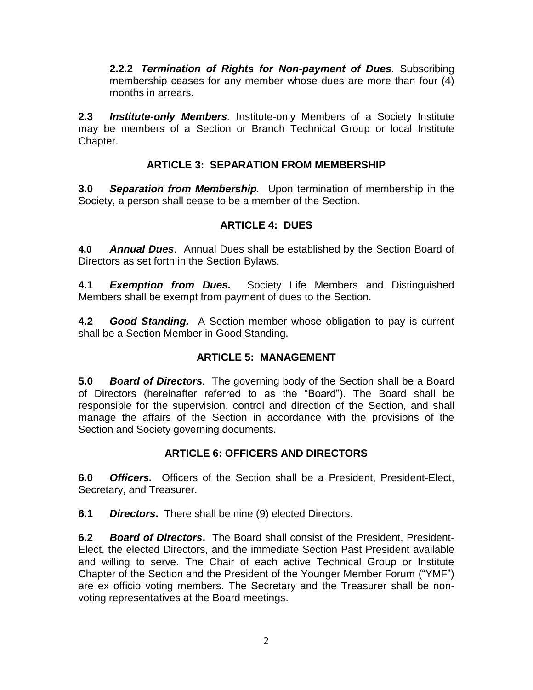**2.2.2** *Termination of Rights for Non-payment of Dues.* Subscribing membership ceases for any member whose dues are more than four (4) months in arrears.

**2.3** *Institute-only Members.* Institute-only Members of a Society Institute may be members of a Section or Branch Technical Group or local Institute Chapter.

## **ARTICLE 3: SEPARATION FROM MEMBERSHIP**

**3.0** *Separation from Membership.* Upon termination of membership in the Society, a person shall cease to be a member of the Section.

## **ARTICLE 4: DUES**

**4.0** *Annual Dues*. Annual Dues shall be established by the Section Board of Directors as set forth in the Section Bylaws*.*

**4.1** *Exemption from Dues.* Society Life Members and Distinguished Members shall be exempt from payment of dues to the Section.

**4.2** *Good Standing.* A Section member whose obligation to pay is current shall be a Section Member in Good Standing.

## **ARTICLE 5: MANAGEMENT**

**5.0** *Board of Directors.* The governing body of the Section shall be a Board of Directors (hereinafter referred to as the "Board"). The Board shall be responsible for the supervision, control and direction of the Section, and shall manage the affairs of the Section in accordance with the provisions of the Section and Society governing documents.

## **ARTICLE 6: OFFICERS AND DIRECTORS**

**6.0** *Officers.* Officers of the Section shall be a President, President-Elect, Secretary, and Treasurer.

**6.1** *Directors***.** There shall be nine (9) elected Directors.

**6.2** *Board of Directors***.** The Board shall consist of the President, President-Elect, the elected Directors, and the immediate Section Past President available and willing to serve. The Chair of each active Technical Group or Institute Chapter of the Section and the President of the Younger Member Forum ("YMF") are ex officio voting members. The Secretary and the Treasurer shall be nonvoting representatives at the Board meetings.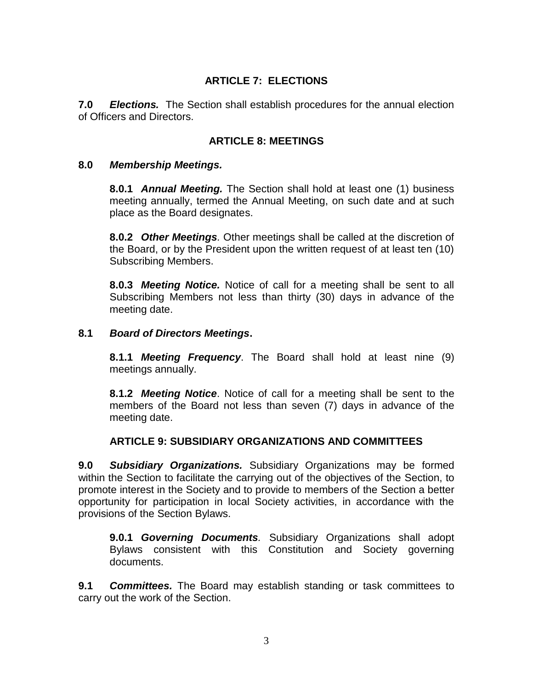## **ARTICLE 7: ELECTIONS**

**7.0** *Elections.* The Section shall establish procedures for the annual election of Officers and Directors.

### **ARTICLE 8: MEETINGS**

#### **8.0** *Membership Meetings.*

**8.0.1** *Annual Meeting.* The Section shall hold at least one (1) business meeting annually, termed the Annual Meeting, on such date and at such place as the Board designates.

**8.0.2** *Other Meetings.* Other meetings shall be called at the discretion of the Board, or by the President upon the written request of at least ten (10) Subscribing Members.

**8.0.3** *Meeting Notice.* Notice of call for a meeting shall be sent to all Subscribing Members not less than thirty (30) days in advance of the meeting date.

#### **8.1** *Board of Directors Meetings***.**

**8.1.1** *Meeting Frequency*. The Board shall hold at least nine (9) meetings annually.

**8.1.2** *Meeting Notice*. Notice of call for a meeting shall be sent to the members of the Board not less than seven (7) days in advance of the meeting date.

### **ARTICLE 9: SUBSIDIARY ORGANIZATIONS AND COMMITTEES**

**9.0** *Subsidiary Organizations.* Subsidiary Organizations may be formed within the Section to facilitate the carrying out of the objectives of the Section, to promote interest in the Society and to provide to members of the Section a better opportunity for participation in local Society activities, in accordance with the provisions of the Section Bylaws.

**9.0.1** *Governing Documents.* Subsidiary Organizations shall adopt Bylaws consistent with this Constitution and Society governing documents.

**9.1** *Committees.* The Board may establish standing or task committees to carry out the work of the Section.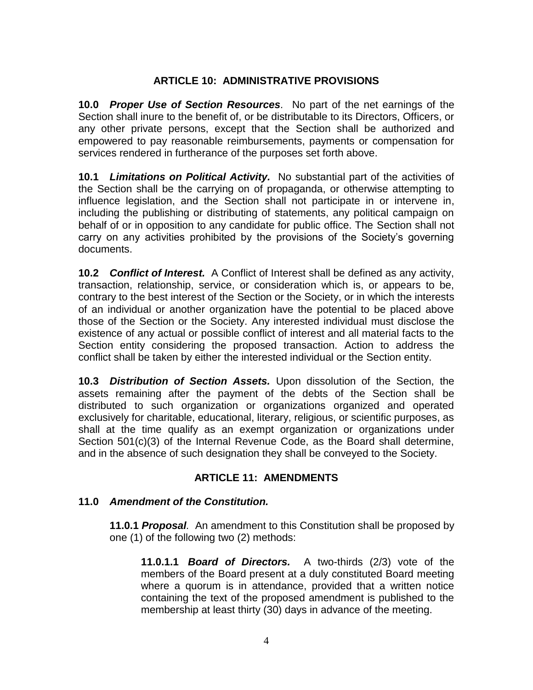### **ARTICLE 10: ADMINISTRATIVE PROVISIONS**

**10.0** *Proper Use of Section Resources.* No part of the net earnings of the Section shall inure to the benefit of, or be distributable to its Directors, Officers, or any other private persons, except that the Section shall be authorized and empowered to pay reasonable reimbursements, payments or compensation for services rendered in furtherance of the purposes set forth above.

**10.1** *Limitations on Political Activity.* No substantial part of the activities of the Section shall be the carrying on of propaganda, or otherwise attempting to influence legislation, and the Section shall not participate in or intervene in, including the publishing or distributing of statements, any political campaign on behalf of or in opposition to any candidate for public office. The Section shall not carry on any activities prohibited by the provisions of the Society's governing documents.

**10.2** *Conflict of Interest.* A Conflict of Interest shall be defined as any activity, transaction, relationship, service, or consideration which is, or appears to be, contrary to the best interest of the Section or the Society, or in which the interests of an individual or another organization have the potential to be placed above those of the Section or the Society. Any interested individual must disclose the existence of any actual or possible conflict of interest and all material facts to the Section entity considering the proposed transaction. Action to address the conflict shall be taken by either the interested individual or the Section entity.

**10.3** *Distribution of Section Assets.* Upon dissolution of the Section, the assets remaining after the payment of the debts of the Section shall be distributed to such organization or organizations organized and operated exclusively for charitable, educational, literary, religious, or scientific purposes, as shall at the time qualify as an exempt organization or organizations under Section 501(c)(3) of the Internal Revenue Code, as the Board shall determine, and in the absence of such designation they shall be conveyed to the Society.

#### **ARTICLE 11: AMENDMENTS**

#### **11.0** *Amendment of the Constitution.*

**11.0.1** *Proposal.* An amendment to this Constitution shall be proposed by one (1) of the following two (2) methods:

**11.0.1.1** *Board of Directors.* A two-thirds (2/3) vote of the members of the Board present at a duly constituted Board meeting where a quorum is in attendance, provided that a written notice containing the text of the proposed amendment is published to the membership at least thirty (30) days in advance of the meeting.